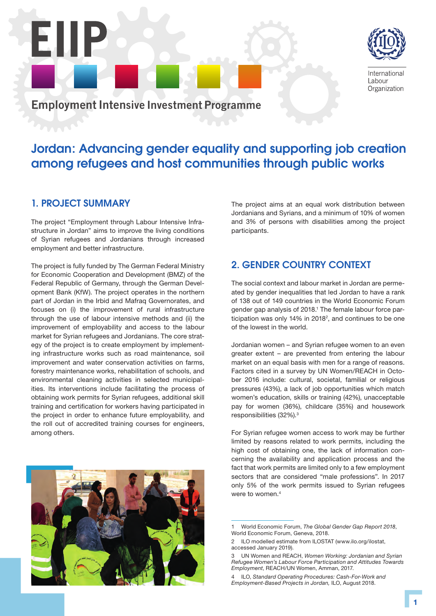

International Labour Organization

Employment Intensive Investment Programme

# Jordan: Advancing gender equality and supporting job creation among refugees and host communities through public works

participants.

### 1. PROJECT SUMMARY

EIIP

The project "Employment through Labour Intensive Infrastructure in Jordan" aims to improve the living conditions of Syrian refugees and Jordanians through increased employment and better infrastructure.

The project is fully funded by The German Federal Ministry for Economic Cooperation and Development (BMZ) of the Federal Republic of Germany, through the German Development Bank (KfW). The project operates in the northern part of Jordan in the Irbid and Mafraq Governorates, and focuses on (i) the improvement of rural infrastructure through the use of labour intensive methods and (ii) the improvement of employability and access to the labour market for Syrian refugees and Jordanians. The core strategy of the project is to create employment by implementing infrastructure works such as road maintenance, soil improvement and water conservation activities on farms, forestry maintenance works, rehabilitation of schools, and environmental cleaning activities in selected municipalities. Its interventions include facilitating the process of obtaining work permits for Syrian refugees, additional skill training and certification for workers having participated in the project in order to enhance future employability, and the roll out of accredited training courses for engineers, among others.

## The project aims at an equal work distribution between Jordanians and Syrians, and a minimum of 10% of women and 3% of persons with disabilities among the project

## 2. GENDER COUNTRY CONTEXT

The social context and labour market in Jordan are permeated by gender inequalities that led Jordan to have a rank of 138 out of 149 countries in the World Economic Forum gender gap analysis of 2018.<sup>1</sup> The female labour force participation was only 14% in 2018 $^2$ , and continues to be one of the lowest in the world.

Jordanian women – and Syrian refugee women to an even greater extent – are prevented from entering the labour market on an equal basis with men for a range of reasons. Factors cited in a survey by UN Women/REACH in October 2016 include: cultural, societal, familial or religious pressures (43%), a lack of job opportunities which match women's education, skills or training (42%), unacceptable pay for women (36%), childcare (35%) and housework responsibilities (32%).3

For Syrian refugee women access to work may be further limited by reasons related to work permits, including the high cost of obtaining one, the lack of information concerning the availability and application process and the fact that work permits are limited only to a few employment sectors that are considered "male professions". In 2017 only 5% of the work permits issued to Syrian refugees were to women.<sup>4</sup>

<sup>4</sup> ILO, *Standard Operating Procedures: Cash-For-Work and Employment-Based Projects in Jordan,* ILO, August 2018.



<sup>1</sup> World Economic Forum, *The Global Gender Gap Report 2018*, World Economic Forum, Geneva, 2018.

<sup>2</sup> ILO modelled estimate from ILOSTAT (www.ilo.org/ilostat, accessed January 2019).

<sup>3</sup> UN Women and REACH, *Women Working: Jordanian and Syrian Refugee Women's Labour Force Participation and Attitudes Towards Employment*, REACH/UN Women, Amman, 2017.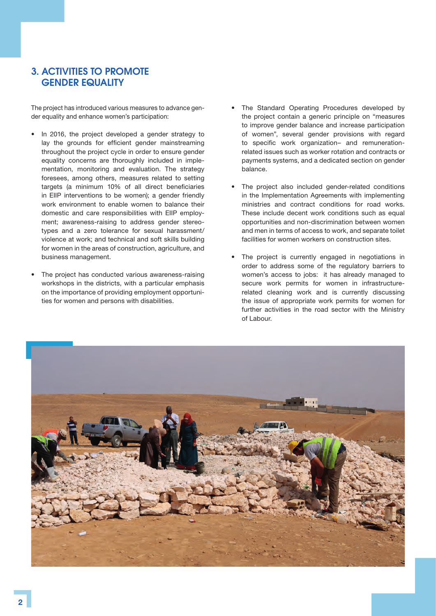### 3. ACTIVITIES TO PROMOTE GENDER EQUALITY

The project has introduced various measures to advance gender equality and enhance women's participation:

- In 2016, the project developed a gender strategy to lay the grounds for efficient gender mainstreaming throughout the project cycle in order to ensure gender equality concerns are thoroughly included in implementation, monitoring and evaluation. The strategy foresees, among others, measures related to setting targets (a minimum 10% of all direct beneficiaries in EIIP interventions to be women); a gender friendly work environment to enable women to balance their domestic and care responsibilities with EIIP employment; awareness-raising to address gender stereotypes and a zero tolerance for sexual harassment/ violence at work; and technical and soft skills building for women in the areas of construction, agriculture, and business management.
- The project has conducted various awareness-raising workshops in the districts, with a particular emphasis on the importance of providing employment opportunities for women and persons with disabilities.
- The Standard Operating Procedures developed by the project contain a generic principle on "measures to improve gender balance and increase participation of women", several gender provisions with regard to specific work organization– and remunerationrelated issues such as worker rotation and contracts or payments systems, and a dedicated section on gender balance.
- The project also included gender-related conditions in the Implementation Agreements with implementing ministries and contract conditions for road works. These include decent work conditions such as equal opportunities and non-discrimination between women and men in terms of access to work, and separate toilet facilities for women workers on construction sites.
- The project is currently engaged in negotiations in order to address some of the regulatory barriers to women's access to jobs: it has already managed to secure work permits for women in infrastructurerelated cleaning work and is currently discussing the issue of appropriate work permits for women for further activities in the road sector with the Ministry of Labour.

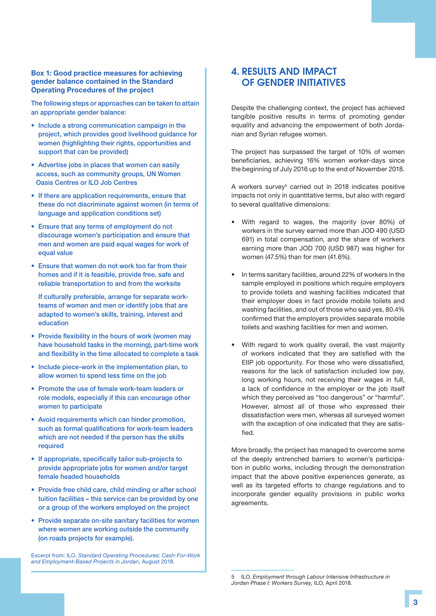#### Box 1: Good practice measures for achieving gender balance contained in the Standard Operating Procedures of the project

The following steps or approaches can be taken to attain an appropriate gender balance:

- Include a strong communication campaign in the project, which provides good livelihood guidance for women (highlighting their rights, opportunities and support that can be provided)
- Advertise jobs in places that women can easily access, such as community groups, UN Women Oasis Centres or ILO Job Centres
- If there are application requirements, ensure that these do not discriminate against women (in terms of language and application conditions set)
- Ensure that any terms of employment do not discourage women's participation and ensure that men and women are paid equal wages for work of equal value
- Ensure that women do not work too far from their homes and if it is feasible, provide free, safe and reliable transportation to and from the worksite

 If culturally preferable, arrange for separate workteams of women and men or identify jobs that are adapted to women's skills, training, interest and education

- Provide flexibility in the hours of work (women may have household tasks in the morning), part-time work and flexibility in the time allocated to complete a task
- Include piece-work in the implementation plan, to allow women to spend less time on the job
- Promote the use of female work-team leaders or role models, especially if this can encourage other women to participate
- Avoid requirements which can hinder promotion, such as formal qualifications for work-team leaders which are not needed if the person has the skills required
- If appropriate, specifically tailor sub-projects to provide appropriate jobs for women and/or target female headed households
- Provide free child care, child minding or after school tuition facilities – this service can be provided by one or a group of the workers employed on the project
- Provide separate on-site sanitary facilities for women where women are working outside the community (on roads projects for example).

Excerpt from: ILO, *Standard Operating Procedures: Cash-For-Work and Employment-Based Projects in Jordan,* August 2018.

### 4. RESULTS AND IMPACT OF GENDER INITIATIVES

Despite the challenging context, the project has achieved tangible positive results in terms of promoting gender equality and advancing the empowerment of both Jordanian and Syrian refugee women.

The project has surpassed the target of 10% of women beneficiaries, achieving 16% women worker-days since the beginning of July 2016 up to the end of November 2018.

A workers survey<sup>5</sup> carried out in 2018 indicates positive impacts not only in quantitative terms, but also with regard to several qualitative dimensions:

- With regard to wages, the majority (over 80%) of workers in the survey earned more than JOD 490 (USD 691) in total compensation, and the share of workers earning more than JOD 700 (USD 987) was higher for women (47.5%) than for men (41.6%).
- In terms sanitary facilities, around 22% of workers in the sample employed in positions which require employers to provide toilets and washing facilities indicated that their employer does in fact provide mobile toilets and washing facilities, and out of those who said yes, 80.4% confirmed that the employers provides separate mobile toilets and washing facilities for men and women.
- With regard to work quality overall, the vast majority of workers indicated that they are satisfied with the EIIP job opportunity. For those who were dissatisfied, reasons for the lack of satisfaction included low pay, long working hours, not receiving their wages in full, a lack of confidence in the employer or the job itself which they perceived as "too dangerous" or "harmful". However, almost all of those who expressed their dissatisfaction were men, whereas all surveyed women with the exception of one indicated that they are satisfied.

More broadly, the project has managed to overcome some of the deeply entrenched barriers to women's participation in public works, including through the demonstration impact that the above positive experiences generate, as well as its targeted efforts to change regulations and to incorporate gender equality provisions in public works agreements.

<sup>5</sup> ILO, *Employment through Labour Intensive Infrastructure in Jordan Phase I: Workers Survey,* ILO, April 2018.